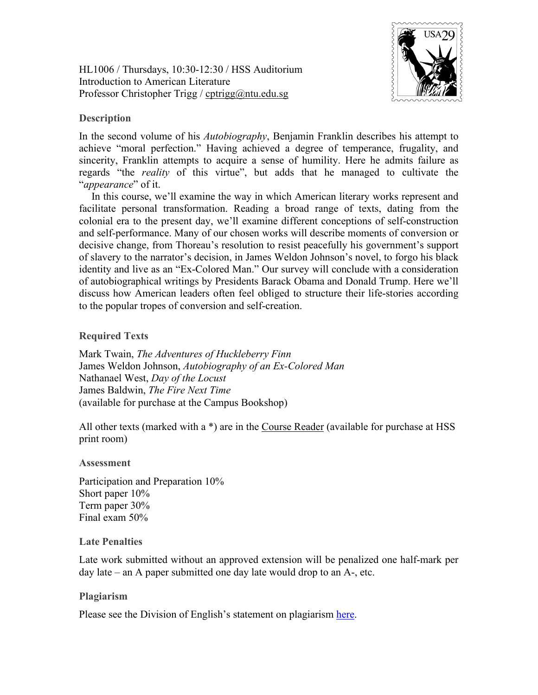HL1006 / Thursdays, 10:30-12:30 / HSS Auditorium Introduction to American Literature Professor Christopher Trigg / [cptrigg@ntu.edu.sg](mailto:cptrigg@ntu.edu.sg)



## **Description**

In the second volume of his *Autobiography*, Benjamin Franklin describes his attempt to achieve "moral perfection." Having achieved a degree of temperance, frugality, and sincerity, Franklin attempts to acquire a sense of humility. Here he admits failure as regards "the *reality* of this virtue", but adds that he managed to cultivate the "*appearance*" of it.

In this course, we'll examine the way in which American literary works represent and facilitate personal transformation. Reading a broad range of texts, dating from the colonial era to the present day, we'll examine different conceptions of self-construction and self-performance. Many of our chosen works will describe moments of conversion or decisive change, from Thoreau's resolution to resist peacefully his government's support of slavery to the narrator's decision, in James Weldon Johnson's novel, to forgo his black identity and live as an "Ex-Colored Man." Our survey will conclude with a consideration of autobiographical writings by Presidents Barack Obama and Donald Trump. Here we'll discuss how American leaders often feel obliged to structure their life-stories according to the popular tropes of conversion and self-creation.

**Required Texts**

Mark Twain, *The Adventures of Huckleberry Finn* James Weldon Johnson, *Autobiography of an Ex-Colored Man* Nathanael West, *Day of the Locust* James Baldwin, *The Fire Next Time* (available for purchase at the Campus Bookshop)

All other texts (marked with a  $*$ ) are in the Course Reader (available for purchase at HSS print room)

## **Assessment**

Participation and Preparation 10% Short paper 10% Term paper 30% Final exam 50%

## **Late Penalties**

Late work submitted without an approved extension will be penalized one half-mark per day late – an A paper submitted one day late would drop to an A-, etc.

## **Plagiarism**

Please see the Division of English's statement on plagiarism [here.](http://english.hss.ntu.edu.sg/Documents/Plagiarism.pdf)